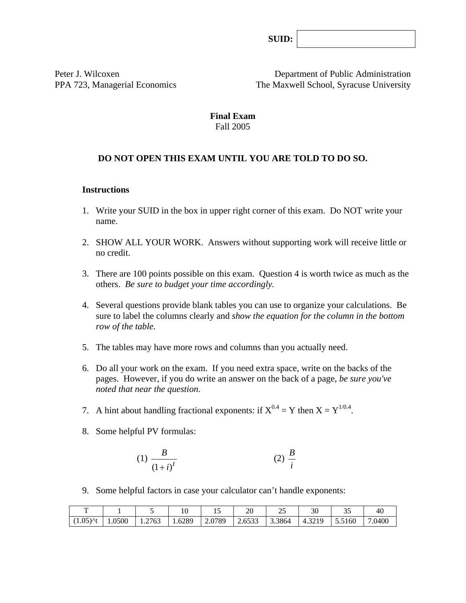**SUID:**

Peter J. Wilcoxen Department of Public Administration PPA 723, Managerial Economics The Maxwell School, Syracuse University

#### **Final Exam**  Fall 2005

## **DO NOT OPEN THIS EXAM UNTIL YOU ARE TOLD TO DO SO.**

#### **Instructions**

- 1. Write your SUID in the box in upper right corner of this exam. Do NOT write your name.
- 2. SHOW ALL YOUR WORK. Answers without supporting work will receive little or no credit.
- 3. There are 100 points possible on this exam. Question 4 is worth twice as much as the others. *Be sure to budget your time accordingly.*
- 4. Several questions provide blank tables you can use to organize your calculations. Be sure to label the columns clearly and *show the equation for the column in the bottom row of the table.*
- 5. The tables may have more rows and columns than you actually need.
- 6. Do all your work on the exam. If you need extra space, write on the backs of the pages. However, if you do write an answer on the back of a page, *be sure you've noted that near the question*.
- 7. A hint about handling fractional exponents: if  $X^{0.4} = Y$  then  $X = Y^{1/0.4}$ .
- 8. Some helpful PV formulas:

$$
(1) \frac{B}{\left(1+i\right)^t} \tag{2} \frac{B}{i}
$$

9. Some helpful factors in case your calculator can't handle exponents:

| —                     |        |        | 1 v    | …                                        | 20                                       | $\sim$<br>$\overline{\phantom{a}}$ | າດ<br>υU | ັ້     | 40     |
|-----------------------|--------|--------|--------|------------------------------------------|------------------------------------------|------------------------------------|----------|--------|--------|
| $(1.05)$ At<br>( 1.UJ | 1.0500 | 1.2763 | 1.6289 | .0789<br>$\mathcal{L}$ . V $\mathcal{L}$ | $\sim$ $\sim$ $\sim$<br>5333<br>د د دن ۲ | 3.3864                             | 4.3219   | 5.5160 | 7.0400 |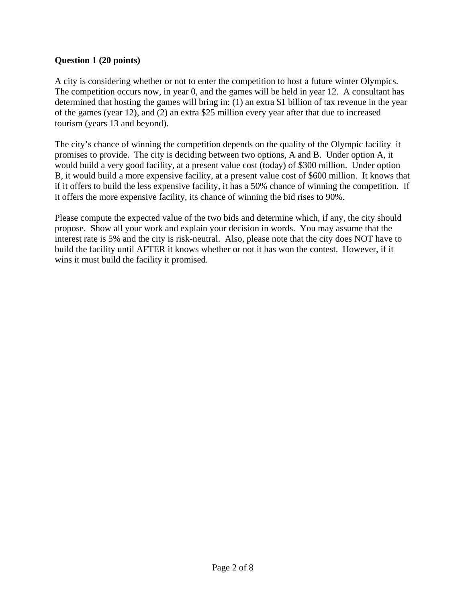### **Question 1 (20 points)**

A city is considering whether or not to enter the competition to host a future winter Olympics. The competition occurs now, in year 0, and the games will be held in year 12. A consultant has determined that hosting the games will bring in: (1) an extra \$1 billion of tax revenue in the year of the games (year 12), and (2) an extra \$25 million every year after that due to increased tourism (years 13 and beyond).

The city's chance of winning the competition depends on the quality of the Olympic facility it promises to provide. The city is deciding between two options, A and B. Under option A, it would build a very good facility, at a present value cost (today) of \$300 million. Under option B, it would build a more expensive facility, at a present value cost of \$600 million. It knows that if it offers to build the less expensive facility, it has a 50% chance of winning the competition. If it offers the more expensive facility, its chance of winning the bid rises to 90%.

Please compute the expected value of the two bids and determine which, if any, the city should propose. Show all your work and explain your decision in words. You may assume that the interest rate is 5% and the city is risk-neutral. Also, please note that the city does NOT have to build the facility until AFTER it knows whether or not it has won the contest. However, if it wins it must build the facility it promised.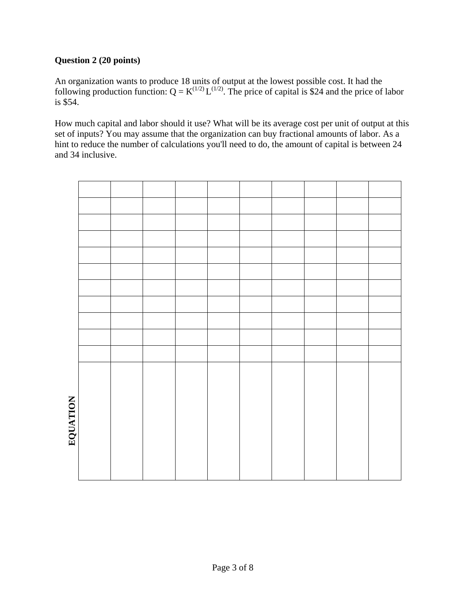# **Question 2 (20 points)**

An organization wants to produce 18 units of output at the lowest possible cost. It had the following production function:  $Q = K^{(1/2)} L^{(1/2)}$ . The price of capital is \$24 and the price of labor is \$54.

How much capital and labor should it use? What will be its average cost per unit of output at this set of inputs? You may assume that the organization can buy fractional amounts of labor. As a hint to reduce the number of calculations you'll need to do, the amount of capital is between 24 and 34 inclusive.

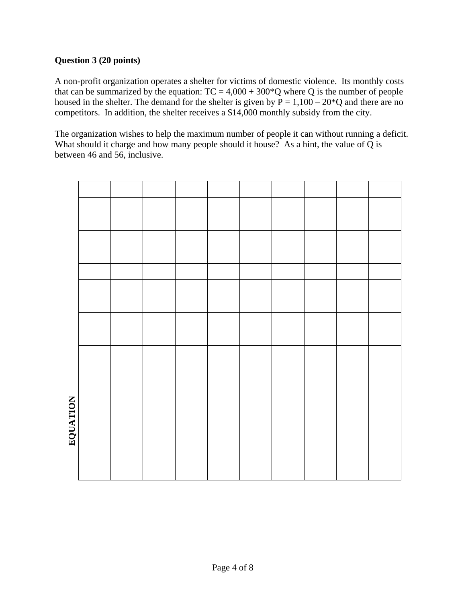## **Question 3 (20 points)**

A non-profit organization operates a shelter for victims of domestic violence. Its monthly costs that can be summarized by the equation:  $TC = 4,000 + 300^{\circ}Q$  where Q is the number of people housed in the shelter. The demand for the shelter is given by  $\bar{P} = 1,100 - 20*Q$  and there are no competitors. In addition, the shelter receives a \$14,000 monthly subsidy from the city.

The organization wishes to help the maximum number of people it can without running a deficit. What should it charge and how many people should it house? As a hint, the value of  $\overline{Q}$  is between 46 and 56, inclusive.

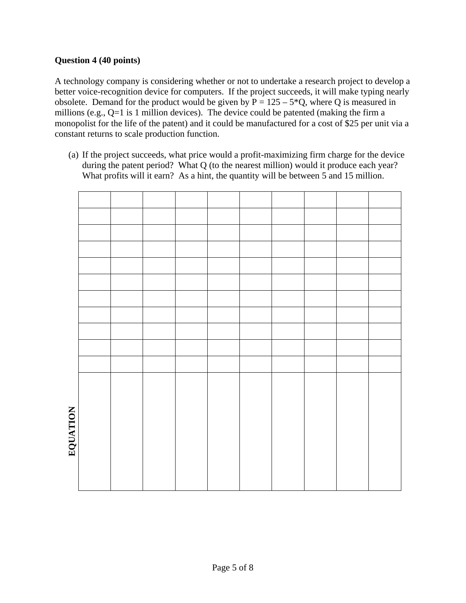## **Question 4 (40 points)**

A technology company is considering whether or not to undertake a research project to develop a better voice-recognition device for computers. If the project succeeds, it will make typing nearly obsolete. Demand for the product would be given by  $P = 125 - 5$ °C, where Q is measured in millions (e.g., Q=1 is 1 million devices). The device could be patented (making the firm a monopolist for the life of the patent) and it could be manufactured for a cost of \$25 per unit via a constant returns to scale production function.

(a) If the project succeeds, what price would a profit-maximizing firm charge for the device during the patent period? What Q (to the nearest million) would it produce each year? What profits will it earn? As a hint, the quantity will be between 5 and 15 million.

| EQUATION |  |  |  |  |  |
|----------|--|--|--|--|--|
|          |  |  |  |  |  |
|          |  |  |  |  |  |
|          |  |  |  |  |  |
|          |  |  |  |  |  |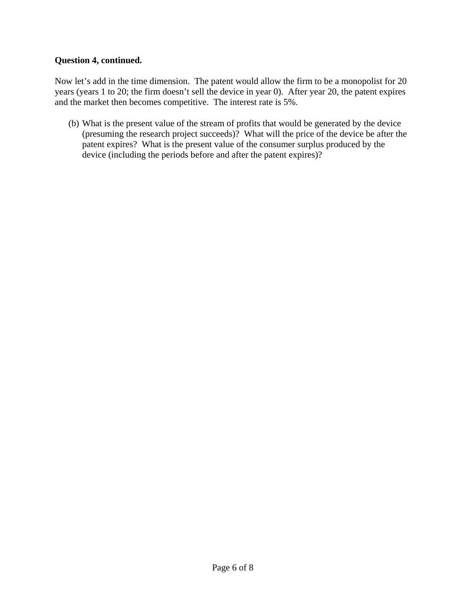## **Question 4, continued.**

Now let's add in the time dimension. The patent would allow the firm to be a monopolist for 20 years (years 1 to 20; the firm doesn't sell the device in year 0). After year 20, the patent expires and the market then becomes competitive. The interest rate is 5%.

(b) What is the present value of the stream of profits that would be generated by the device (presuming the research project succeeds)? What will the price of the device be after the patent expires? What is the present value of the consumer surplus produced by the device (including the periods before and after the patent expires)?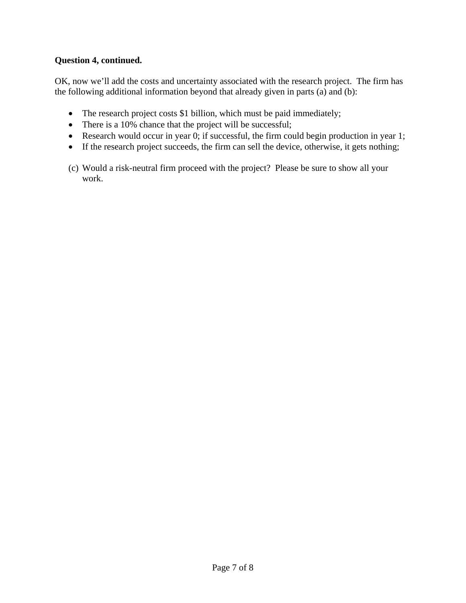## **Question 4, continued.**

OK, now we'll add the costs and uncertainty associated with the research project. The firm has the following additional information beyond that already given in parts (a) and (b):

- The research project costs \$1 billion, which must be paid immediately;
- There is a 10% chance that the project will be successful;
- Research would occur in year 0; if successful, the firm could begin production in year 1;
- If the research project succeeds, the firm can sell the device, otherwise, it gets nothing;
- (c) Would a risk-neutral firm proceed with the project? Please be sure to show all your work.